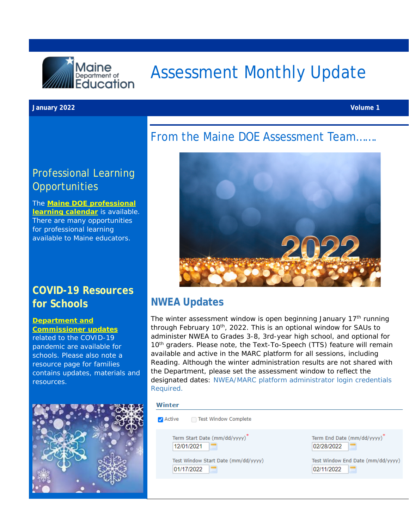

# Assessment Monthly Update

#### **January 2022 Volume 1**

### Professional Learning **Opportunities**

The **[Maine DOE professional](https://www.maine.gov/doe/calendar)  [learning calendar](https://www.maine.gov/doe/calendar)** is available. There are many opportunities for professional learning available to Maine educators.

### **COVID-19 Resources for Schools**

#### **Department and**

**[Commissioner updates](https://www.maine.gov/doe/covid-19/toolkit)** related to the COVID-19 pandemic are available for schools. Please also note a resource page for families contains updates, materials and resources.



### From the Maine DOE Assessment Team…….



#### **NWEA Updates**

The winter assessment window is open beginning January 17<sup>th</sup> running through February 10<sup>th</sup>, 2022. This is an optional window for SAUs to administer NWEA to Grades 3-8, 3rd-year high school, and optional for 10<sup>th</sup> graders. Please note, the Text-To-Speech (TTS) feature will remain available and active in the MARC platform for all sessions, including Reading. Although the winter administration results are not shared with the Department, please set the assessment window to reflect the designated dates: [NWEA/MARC platform administrator login credentials](https://sso.mapnwea.org/auth/login?dest=https%3A%2F%2Fteach.mapnwea.org%2Fassist%2Fhelp_map%2FContent%2FMAPSetup%2FTesting_Dates.htm)  [Required.](https://sso.mapnwea.org/auth/login?dest=https%3A%2F%2Fteach.mapnwea.org%2Fassist%2Fhelp_map%2FContent%2FMAPSetup%2FTesting_Dates.htm)

#### Winter

| Test Window Complete<br>Active      |                                         |
|-------------------------------------|-----------------------------------------|
| Term Start Date (mm/dd/yyyy)*       | Term End Date (mm/dd/yyyy) <sup>*</sup> |
| 12/01/2021                          | 02/28/2022                              |
| Test Window Start Date (mm/dd/yyyy) | Test Window End Date (mm/dd/yyyy)       |
| 01/17/2022                          | 02/11/2022                              |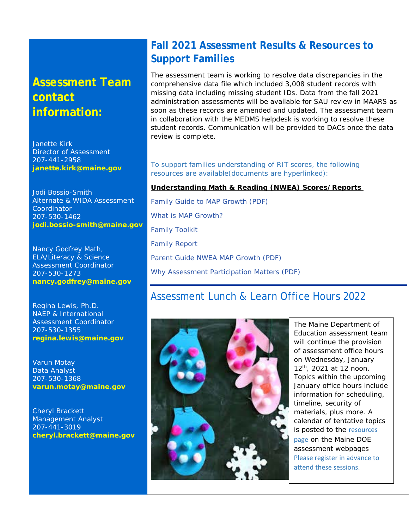## **Assessment Team contact information:**

Janette Kirk Director of Assessment 207-441-2958 **[janette.kirk@maine.gov](mailto:janette.kirk@maine.gov)**

Jodi Bossio-Smith Alternate & WIDA Assessment Coordinator 207-530-1462 **[jodi.bossio-smith@maine.gov](mailto:jodi.bossio-smith@maine.gov)**

Nancy Godfrey Math, ELA/Literacy & Science Assessment Coordinator 207-530-1273 **[nancy.godfrey@maine.gov](mailto:nancy.godfrey@maine.gov)**

Regina Lewis, Ph.D. NAEP & International Assessment Coordinator 207-530-1355 **[regina.lewis@maine.gov](mailto:regina.lewis@maine.gov)**

Varun Motay Data Analyst 207-530-1368 **[varun.motay@maine.gov](mailto:varun.motay@maine.gov)**

Cheryl Brackett Management Analyst 207-441-3019 **[cheryl.brackett@maine.gov](mailto:cheryl.brackett@maine.gov)**

### **Fall 2021 Assessment Results & Resources to Support Families**

The assessment team is working to resolve data discrepancies in the comprehensive data file which included 3,008 student records with missing data including missing student IDs. Data from the fall 2021 administration assessments will be available for SAU review in MAARS as soon as these records are amended and updated. The assessment team in collaboration with the MEDMS helpdesk is working to resolve these student records. Communication will be provided to DACs once the data review is complete.

[To support families understanding of RIT scores, the following](https://www.maine.gov/doe/Testing_Accountability/MECAS/supports)  [resources are available\(documents are hyperlinked\):](https://www.maine.gov/doe/Testing_Accountability/MECAS/supports)

#### **Understanding Math & Reading (NWEA) Scores/Reports**

[Family Guide to MAP Growth](https://www.maine.gov/doe/sites/maine.gov.doe/files/inline-files/Family%2BGuide%2Bto%2BMAP%2BGrowth.pdf) (PDF) [What is MAP Growth?](https://www.nwea.org/resource-center/resource/what-is-map-growth/) [Family Toolkit](https://www.nwea.org/the-map-suite/family-toolkit/) [Family Report](https://teach.mapnwea.org/impl/maphelp/Content/Data/SampleReports/FamilyReport.htm?Highlight=family%20report) [Parent Guide NWEA MAP Growth](https://www.maine.gov/doe/sites/maine.gov.doe/files/inline-files/Parent-Guide-NWEA-MAP-Growth.pdf) (PDF) [Why Assessment Participation Matters](https://www.maine.gov/doe/sites/maine.gov.doe/files/inline-files/Why%20Participation%20Matters-1_0.pdf) (PDF)

#### Assessment Lunch & Learn Office Hours 2022



The Maine Department of Education assessment team will continue the provision of assessment office hours on Wednesday, January 12th, 2021 at 12 noon. Topics within the upcoming January office hours include information for scheduling, timeline, security of materials, plus more. A calendar of tentative topics is posted to the [resources](https://www.maine.gov/doe/Testing_Accountability/MECAS/supports)  [page](https://www.maine.gov/doe/Testing_Accountability/MECAS/supports) on the Maine DOE assessment webpages [Please register in advance to](https://networkmaine.zoom.us/meeting/register/tZIucuirrz0tGtT4YUZDjXPbAEDZ-IaOCvlU)  [attend these sessions.](https://networkmaine.zoom.us/meeting/register/tZIucuirrz0tGtT4YUZDjXPbAEDZ-IaOCvlU)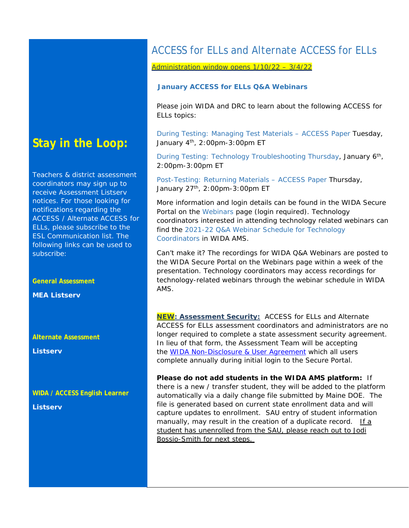### **Stay in the Loop:**

Teachers & district assessment coordinators may sign up to receive Assessment Listserv notices. For those looking for notifications regarding the ACCESS / Alternate ACCESS for ELLs, please subscribe to the ESL Communication list. The following links can be used to subscribe:

**General Assessment** 

**MEA Listserv** 

**Alternate Assessment** 

**Listserv** 

**WIDA / ACCESS English Learner** 

**Listserv**

### ACCESS for ELLs and Alternate ACCESS for ELLs

#### Administration window opens 1/10/22 – 3/4/22

#### **January ACCESS for ELLs Q&A Webinars**

Please join WIDA and DRC to learn about the following ACCESS for ELLs topics:

[During Testing: Managing Test Materials –](https://uwmadison.webex.com/mw3300/mywebex/default.do?nomenu=true&siteurl=uwmadison&service=6&rnd=0.5200288691078958&main_url=https%3A%2F%2Fuwmadison.webex.com%2Fec3300%2Feventcenter%2Fevent%2FeventAction.do%3FtheAction%3Ddetail%26%26%26EMK%3D4832534b000000058fa60072521cad343e7a623cbefbb4633eb492a003af25bdf22e62b5577ea60d%26siteurl%3Duwmadison%26confViewID%3D198576257545306832%26encryptTicket%3DSDJTSwAAAAVSIkwXFK0kqxhh8z_dDAwdgoKt_qAdWjAr7y4I5LxECw2%26) ACCESS Paper Tuesday, January 4<sup>th</sup>, 2:00pm-3:00pm ET

[During Testing: Technology Troubleshooting](https://uwmadison.webex.com/mw3300/mywebex/default.do?nomenu=true&siteurl=uwmadison&service=6&rnd=0.38185297608895896&main_url=https%3A%2F%2Fuwmadison.webex.com%2Fec3300%2Feventcenter%2Fevent%2FeventAction.do%3FtheAction%3Ddetail%26%26%26EMK%3D4832534b000000055f30ef5afd88567ff018f52499fae8be4e2aa9faa144bc27ea898edfa697cdfc%26siteurl%3Duwmadison%26confViewID%3D198576516554063917%26encryptTicket%3DSDJTSwAAAAWFK8eE6ahbG0E3ifkU-pqhvhIXSD4dbwAV4EHRAvpOPg2%26) Thursday, January 6th, 2:00pm-3:00pm ET

[Post-Testing: Returning Materials –](https://uwmadison.webex.com/mw3300/mywebex/default.do?nomenu=true&siteurl=uwmadison&service=6&rnd=0.6162106429672146&main_url=https%3A%2F%2Fuwmadison.webex.com%2Fec3300%2Feventcenter%2Fevent%2FeventAction.do%3FtheAction%3Ddetail%26%26%26EMK%3D4832534b000000054c27ee41c673d8fc1d8d7ca7c65fa0ce3cd4931e2ed9567ef2db358826d37bb4%26siteurl%3Duwmadison%26confViewID%3D198576669540253978%26encryptTicket%3DSDJTSwAAAAXZYx1wfGYoGgW9ZVNwNl_Vq23oO7XuAs7M9oYdujpWXQ2%26) ACCESS Paper Thursday, January 27<sup>th</sup>, 2:00pm-3:00pm ET

More information and login details can be found in the WIDA Secure Portal on the [Webinars](https://gcc02.safelinks.protection.outlook.com/?url=https%3A%2F%2Fapp.explore.wisc.edu%2Fe%2Fer%3Fs%3D1427524768%26lid%3D27552%26elqTrackId%3DFC6C99974A023761DC9791427F94E137%26elq%3Dd2389445516b44d6a178c2699c59cb22%26elqaid%3D22384%26elqat%3D1&data=04%7C01%7CJodi.Bossio-Smith%40maine.gov%7Cb2cd6a95b72646fac3c908d9c3d72b4a%7C413fa8ab207d4b629bcdea1a8f2f864e%7C0%7C0%7C637756151167925757%7CUnknown%7CTWFpbGZsb3d8eyJWIjoiMC4wLjAwMDAiLCJQIjoiV2luMzIiLCJBTiI6Ik1haWwiLCJXVCI6Mn0%3D%7C3000&sdata=YfgCWuL%2B9%2BWU%2Fmox7FVrcP0L9R%2FDGfFuOWh9%2FV3fTjg%3D&reserved=0) page (login required). Technology coordinators interested in attending technology related webinars can find the [2021-22 Q&A Webinar Schedule for Technology](https://gcc02.safelinks.protection.outlook.com/?url=https%3A%2F%2Fapp.explore.wisc.edu%2Fe%2Fer%3Fs%3D1427524768%26lid%3D27403%26elqTrackId%3DE8ABF76BA56E0A06AC6A5E4D3CFCA23F%26elq%3Dd2389445516b44d6a178c2699c59cb22%26elqaid%3D22384%26elqat%3D1&data=04%7C01%7CJodi.Bossio-Smith%40maine.gov%7Cb2cd6a95b72646fac3c908d9c3d72b4a%7C413fa8ab207d4b629bcdea1a8f2f864e%7C0%7C0%7C637756151167925757%7CUnknown%7CTWFpbGZsb3d8eyJWIjoiMC4wLjAwMDAiLCJQIjoiV2luMzIiLCJBTiI6Ik1haWwiLCJXVCI6Mn0%3D%7C3000&sdata=M5i5sLVzQeVJ7ER2WtPi6btb1JMm%2FI9HflWvAkXDVyQ%3D&reserved=0)  [Coordinators](https://gcc02.safelinks.protection.outlook.com/?url=https%3A%2F%2Fapp.explore.wisc.edu%2Fe%2Fer%3Fs%3D1427524768%26lid%3D27403%26elqTrackId%3DE8ABF76BA56E0A06AC6A5E4D3CFCA23F%26elq%3Dd2389445516b44d6a178c2699c59cb22%26elqaid%3D22384%26elqat%3D1&data=04%7C01%7CJodi.Bossio-Smith%40maine.gov%7Cb2cd6a95b72646fac3c908d9c3d72b4a%7C413fa8ab207d4b629bcdea1a8f2f864e%7C0%7C0%7C637756151167925757%7CUnknown%7CTWFpbGZsb3d8eyJWIjoiMC4wLjAwMDAiLCJQIjoiV2luMzIiLCJBTiI6Ik1haWwiLCJXVCI6Mn0%3D%7C3000&sdata=M5i5sLVzQeVJ7ER2WtPi6btb1JMm%2FI9HflWvAkXDVyQ%3D&reserved=0) in WIDA AMS.

Can't make it? The recordings for WIDA Q&A Webinars are posted to the WIDA Secure Portal on the Webinars page within a week of the presentation. Technology coordinators may access recordings for technology-related webinars through the webinar schedule in WIDA AMS.

**NEW: Assessment Security:** ACCESS for ELLs and Alternate ACCESS for ELLs assessment coordinators and administrators are no longer required to complete a state assessment security agreement. In lieu of that form, the Assessment Team will be accepting the [WIDA Non-Disclosure](https://portal.wida.us/ndua) & User Agreement which all users complete annually during initial login to the Secure Portal.

**Please do not add students in the WIDA AMS platform:** If there is a new / transfer student, they will be added to the platform automatically via a daily change file submitted by Maine DOE. The file is generated based on current state enrollment data and will capture updates to enrollment. SAU entry of student information manually, may result in the creation of a duplicate record. If a student has unenrolled from the SAU, please reach out to Jodi Bossio-Smith for next steps.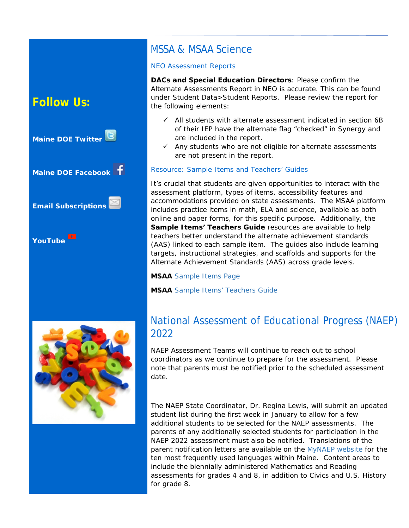### **Follow Us:**



### MSSA & MSAA Science

#### NEO Assessment Reports

**DACs and Special Education Directors**: Please confirm the Alternate Assessments Report in NEO is accurate. This can be found under Student Data>Student Reports. Please review the report for the following elements:

- $\checkmark$  All students with alternate assessment indicated in section 6B of their IEP have the alternate flag "checked" in Synergy and are included in the report.
- $\checkmark$  Any students who are not eligible for alternate assessments are not present in the report.

#### Resource: Sample Items and Teachers' Guides

It's crucial that students are given opportunities to interact with the assessment platform, types of items, accessibility features and accommodations provided on state assessments. The MSAA platform includes practice items in math, ELA and science, available as both online and paper forms, for this specific purpose. Additionally, the Sample Items' Teachers Guide resources are available to help teachers better understand the alternate achievement standards (AAS) linked to each sample item. The guides also include learning targets, instructional strategies, and scaffolds and supports for the Alternate Achievement Standards (AAS) across grade levels.

**MSAA** [Sample Items Page](https://www.msaaassessment.org/tap/sample-items)

**MSAA** [Sample Items' Teachers Guide](https://www.msaaassessment.org/tap/sample-items/teacher-guides)



### National Assessment of Educational Progress (NAEP) 2022

NAEP Assessment Teams will continue to reach out to school coordinators as we continue to prepare for the assessment. Please note that parents must be notified prior to the scheduled assessment date.

The NAEP State Coordinator, Dr. Regina Lewis, will submit an updated student list during the first week in January to allow for a few additional students to be selected for the NAEP assessments. The parents of any additionally selected students for participation in the NAEP 2022 assessment must also be notified. Translations of the parent notification letters are available on the [MyNAEP website](https://www.mynaep.com/login) for the ten most frequently used languages within Maine. Content areas to include the biennially administered Mathematics and Reading assessments for grades 4 and 8, in addition to Civics and U.S. History for grade 8.